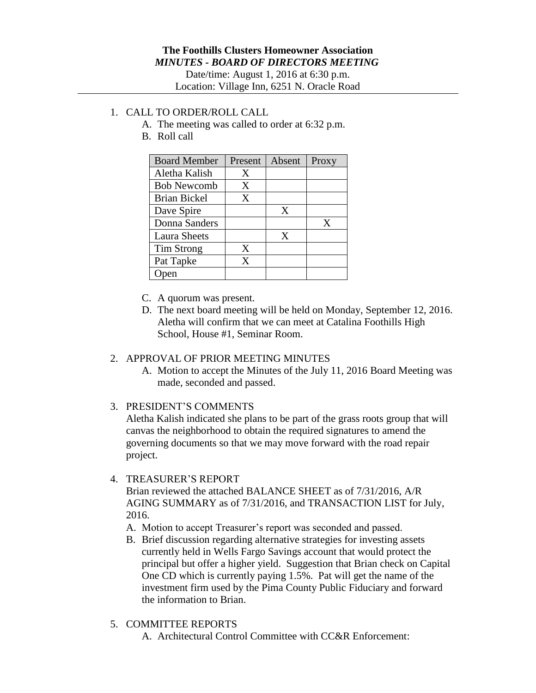Date/time: August 1, 2016 at 6:30 p.m. Location: Village Inn, 6251 N. Oracle Road

## 1. CALL TO ORDER/ROLL CALL

- A. The meeting was called to order at 6:32 p.m.
- B. Roll call

| <b>Board Member</b> | Present | Absent | Proxy |
|---------------------|---------|--------|-------|
| Aletha Kalish       | Χ       |        |       |
| <b>Bob Newcomb</b>  | X       |        |       |
| Brian Bickel        | X       |        |       |
| Dave Spire          |         | X      |       |
| Donna Sanders       |         |        | X     |
| <b>Laura Sheets</b> |         | X      |       |
| <b>Tim Strong</b>   | X       |        |       |
| Pat Tapke           | X       |        |       |
|                     |         |        |       |

- C. A quorum was present.
- D. The next board meeting will be held on Monday, September 12, 2016. Aletha will confirm that we can meet at Catalina Foothills High School, House #1, Seminar Room.

## 2. APPROVAL OF PRIOR MEETING MINUTES

- A. Motion to accept the Minutes of the July 11, 2016 Board Meeting was made, seconded and passed.
- 3. PRESIDENT'S COMMENTS

Aletha Kalish indicated she plans to be part of the grass roots group that will canvas the neighborhood to obtain the required signatures to amend the governing documents so that we may move forward with the road repair project.

4. TREASURER'S REPORT

Brian reviewed the attached BALANCE SHEET as of 7/31/2016, A/R AGING SUMMARY as of 7/31/2016, and TRANSACTION LIST for July, 2016.

- A. Motion to accept Treasurer's report was seconded and passed.
- B. Brief discussion regarding alternative strategies for investing assets currently held in Wells Fargo Savings account that would protect the principal but offer a higher yield. Suggestion that Brian check on Capital One CD which is currently paying 1.5%. Pat will get the name of the investment firm used by the Pima County Public Fiduciary and forward the information to Brian.
- 5. COMMITTEE REPORTS
	- A. Architectural Control Committee with CC&R Enforcement: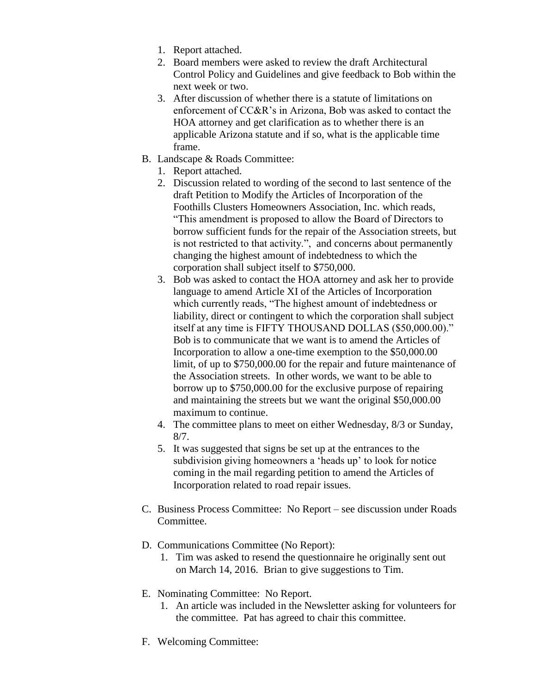- 1. Report attached.
- 2. Board members were asked to review the draft Architectural Control Policy and Guidelines and give feedback to Bob within the next week or two.
- 3. After discussion of whether there is a statute of limitations on enforcement of CC&R's in Arizona, Bob was asked to contact the HOA attorney and get clarification as to whether there is an applicable Arizona statute and if so, what is the applicable time frame.
- B. Landscape & Roads Committee:
	- 1. Report attached.
	- 2. Discussion related to wording of the second to last sentence of the draft Petition to Modify the Articles of Incorporation of the Foothills Clusters Homeowners Association, Inc. which reads, "This amendment is proposed to allow the Board of Directors to borrow sufficient funds for the repair of the Association streets, but is not restricted to that activity.", and concerns about permanently changing the highest amount of indebtedness to which the corporation shall subject itself to \$750,000.
	- 3. Bob was asked to contact the HOA attorney and ask her to provide language to amend Article XI of the Articles of Incorporation which currently reads, "The highest amount of indebtedness or liability, direct or contingent to which the corporation shall subject itself at any time is FIFTY THOUSAND DOLLAS (\$50,000.00)." Bob is to communicate that we want is to amend the Articles of Incorporation to allow a one-time exemption to the \$50,000.00 limit, of up to \$750,000.00 for the repair and future maintenance of the Association streets. In other words, we want to be able to borrow up to \$750,000.00 for the exclusive purpose of repairing and maintaining the streets but we want the original \$50,000.00 maximum to continue.
	- 4. The committee plans to meet on either Wednesday, 8/3 or Sunday, 8/7.
	- 5. It was suggested that signs be set up at the entrances to the subdivision giving homeowners a 'heads up' to look for notice coming in the mail regarding petition to amend the Articles of Incorporation related to road repair issues.
- C. Business Process Committee: No Report see discussion under Roads Committee.
- D. Communications Committee (No Report):
	- 1. Tim was asked to resend the questionnaire he originally sent out on March 14, 2016. Brian to give suggestions to Tim.
- E. Nominating Committee: No Report.
	- 1. An article was included in the Newsletter asking for volunteers for the committee. Pat has agreed to chair this committee.
- F. Welcoming Committee: